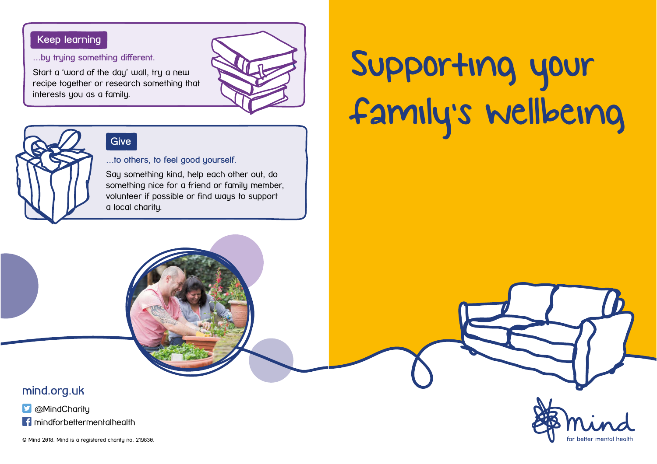### Keep learning

…by trying something different.

Start a 'word of the day' wall, try a new recipe together or research something that interests you as a family.





## Give

...to others, to feel good yourself.

Say something kind, help each other out, do something nice for a friend or family member, volunteer if possible or find ways to support a local charity.

# Supporting your family's wellbeing

mind.org.uk

**D** @MindCharity

**f** mindforbettermentalhealth

© Mind 2018. Mind is a registered charity no. 219830.